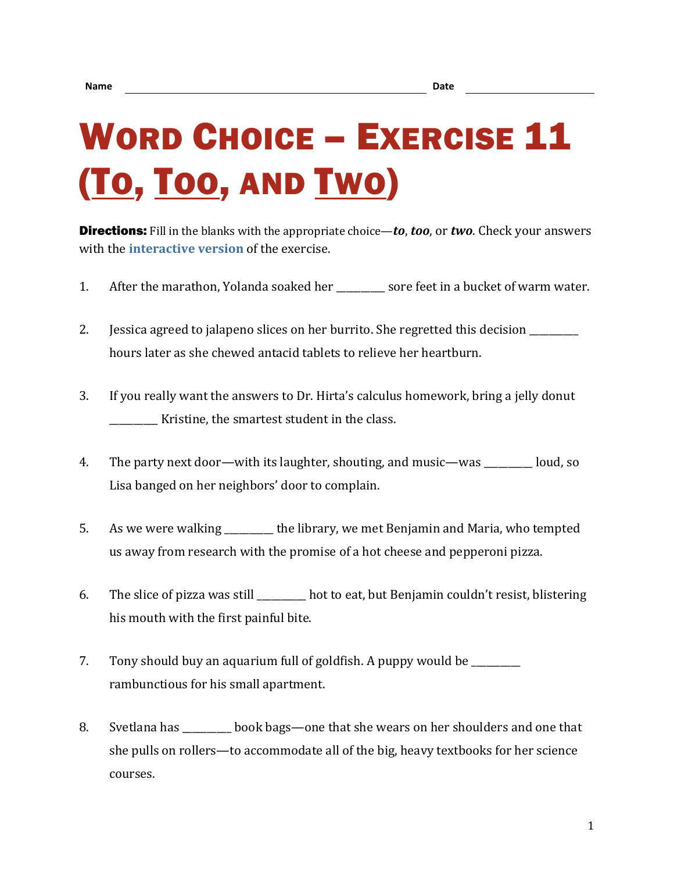## WORD CHOICE - EXERCISE 11 (TO, TOO, AND TWO)

Directions: Fill in the blanks with the appropriate choice—*to*, *too*, or *two*. Check your answers with the **[interactive version](https://chompchomp.com/hotpotatoes/wordchoice11.htm)** of the exercise.

- 1. After the marathon, Yolanda soaked her sore feet in a bucket of warm water.
- 2. Jessica agreed to jalapeno slices on her burrito. She regretted this decision \_\_\_\_\_\_\_ hours later as she chewed antacid tablets to relieve her heartburn.
- 3. If you really want the answers to Dr. Hirta's calculus homework, bring a jelly donut \_\_\_\_\_\_\_\_\_\_ Kristine, the smartest student in the class.
- 4. The party next door—with its laughter, shouting, and music—was loud, so Lisa banged on her neighbors' door to complain.
- 5. As we were walking the library, we met Benjamin and Maria, who tempted us away from research with the promise of a hot cheese and pepperoni pizza.
- 6. The slice of pizza was still \_\_\_\_\_\_\_\_\_\_ hot to eat, but Benjamin couldn't resist, blistering his mouth with the first painful bite.
- 7. Tony should buy an aquarium full of goldfish. A puppy would be \_\_\_\_\_\_\_\_\_\_ rambunctious for his small apartment.
- 8. Svetlana has book bags—one that she wears on her shoulders and one that she pulls on rollers—to accommodate all of the big, heavy textbooks for her science courses.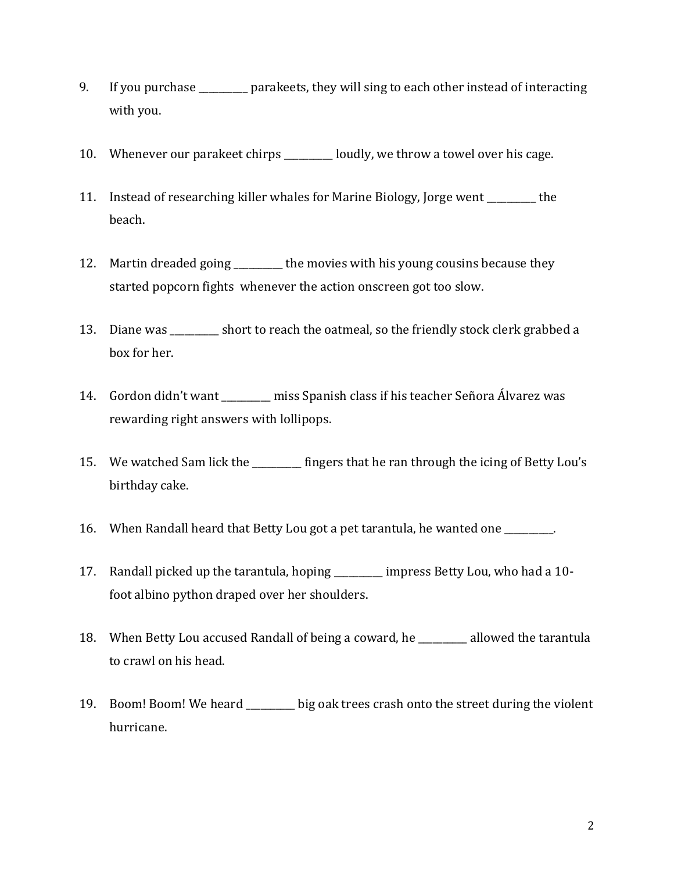- 9. If you purchase \_\_\_\_\_\_\_\_\_\_ parakeets, they will sing to each other instead of interacting with you.
- 10. Whenever our parakeet chirps \_\_\_\_\_\_\_ loudly, we throw a towel over his cage.
- 11. Instead of researching killer whales for Marine Biology, Jorge went \_\_\_\_\_\_\_\_\_\_ the beach.
- 12. Martin dreaded going the movies with his young cousins because they started popcorn fights whenever the action onscreen got too slow.
- 13. Diane was \_\_\_\_\_\_\_\_\_\_ short to reach the oatmeal, so the friendly stock clerk grabbed a box for her.
- 14. Gordon didn't want \_\_\_\_\_\_\_\_\_\_ miss Spanish class if his teacher Señora Álvarez was rewarding right answers with lollipops.
- 15. We watched Sam lick the \_\_\_\_\_\_\_\_\_ fingers that he ran through the icing of Betty Lou's birthday cake.
- 16. When Randall heard that Betty Lou got a pet tarantula, he wanted one
- 17. Randall picked up the tarantula, hoping \_\_\_\_\_\_\_\_\_\_ impress Betty Lou, who had a 10 foot albino python draped over her shoulders.
- 18. When Betty Lou accused Randall of being a coward, he \_\_\_\_\_\_\_\_\_\_ allowed the tarantula to crawl on his head.
- 19. Boom! Boom! We heard \_\_\_\_\_\_\_\_\_\_ big oak trees crash onto the street during the violent hurricane.